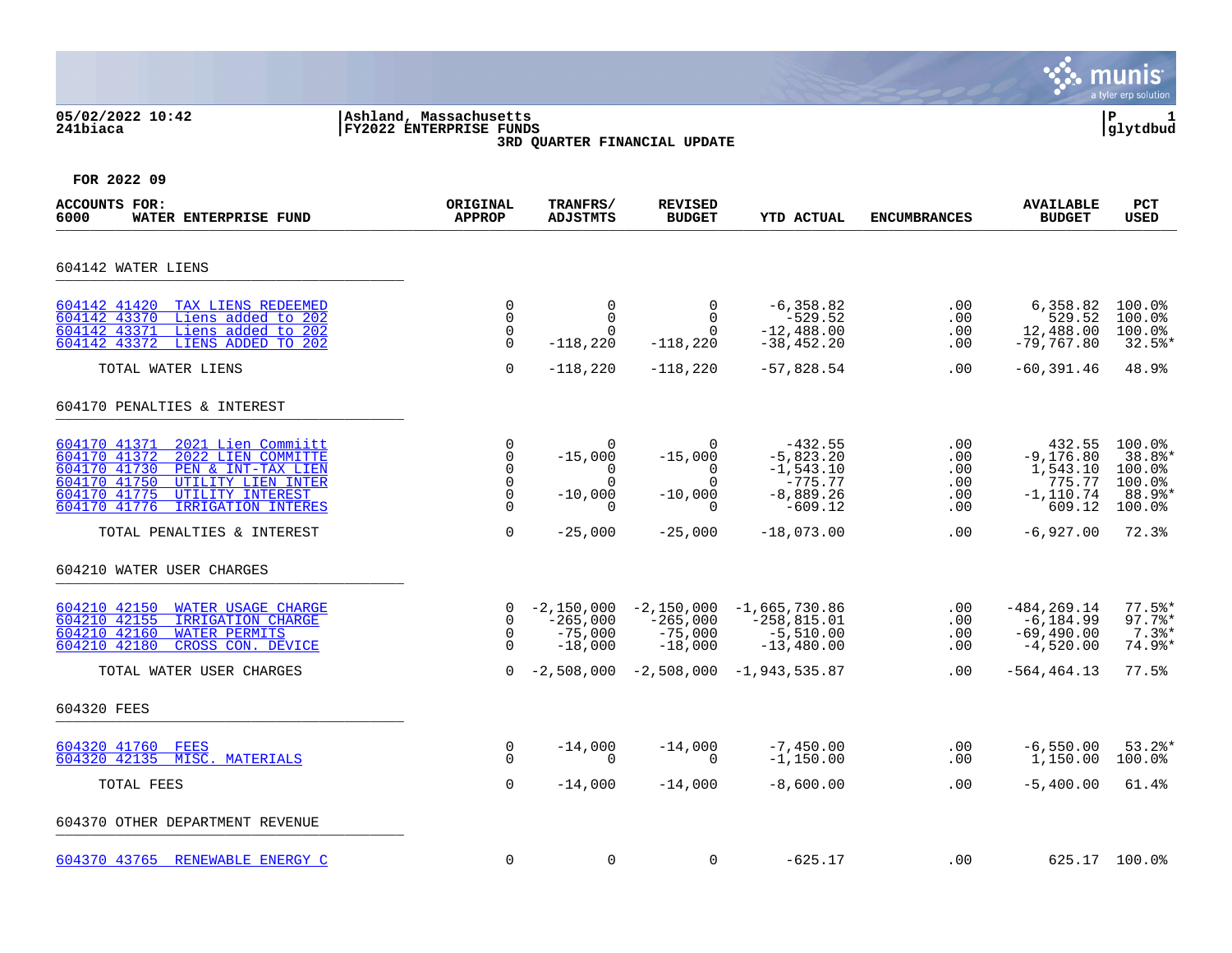#### **05/02/2022 10:42 |Ashland, Massachusetts |P 1 241biaca |FY2022 ENTERPRISE FUNDS |glytdbud 3RD QUARTER FINANCIAL UPDATE**



| <b>ACCOUNTS FOR:</b><br>6000<br>WATER ENTERPRISE FUND                                                                                                                                                                          | ORIGINAL<br><b>APPROP</b>                                       | TRANFRS/<br><b>ADJSTMTS</b>                            | <b>REVISED</b><br><b>BUDGET</b>                          | YTD ACTUAL                                                                       | <b>ENCUMBRANCES</b>                    | <b>AVAILABLE</b><br><b>BUDGET</b>                                      | PCT<br><b>USED</b>                                       |
|--------------------------------------------------------------------------------------------------------------------------------------------------------------------------------------------------------------------------------|-----------------------------------------------------------------|--------------------------------------------------------|----------------------------------------------------------|----------------------------------------------------------------------------------|----------------------------------------|------------------------------------------------------------------------|----------------------------------------------------------|
| 604142 WATER LIENS                                                                                                                                                                                                             |                                                                 |                                                        |                                                          |                                                                                  |                                        |                                                                        |                                                          |
| 604142 41420<br>TAX LIENS REDEEMED<br>604142 43370<br>Liens added to 202<br>604142 43371<br>Liens added to 202<br>604142 43372<br>LIENS ADDED TO 202                                                                           | $\mathbf 0$<br>$\mathbf 0$<br>$\mathbf 0$<br>$\Omega$           | $\mathbf 0$<br>$\Omega$<br>$\Omega$<br>$-118,220$      | $\mathbf 0$<br>$\Omega$<br>$\Omega$<br>$-118,220$        | $-6, 358.82$<br>$-529.52$<br>$-12,488.00$<br>$-38,452.20$                        | .00<br>.00<br>.00<br>$.00 \,$          | 6,358.82<br>529.52<br>12,488.00<br>$-79,767.80$                        | 100.0%<br>100.0%<br>100.0%<br>$32.5$ *                   |
| TOTAL WATER LIENS                                                                                                                                                                                                              | $\Omega$                                                        | $-118,220$                                             | $-118,220$                                               | $-57,828.54$                                                                     | .00                                    | $-60,391.46$                                                           | 48.9%                                                    |
| 604170 PENALTIES & INTEREST                                                                                                                                                                                                    |                                                                 |                                                        |                                                          |                                                                                  |                                        |                                                                        |                                                          |
| 604170 41371<br>2021 Lien Commiitt<br>604170 41372<br>2022 LIEN COMMITTE<br>604170 41730<br>PEN & INT-TAX LIEN<br>604170 41750<br>UTILITY LIEN INTER<br>604170 41775<br>UTILITY INTEREST<br>604170 41776<br>IRRIGATION INTERES | 0<br>$\mathbf 0$<br>$\mathbf 0$<br>$\mathbf 0$<br>$\Omega$<br>0 | 0<br>$-15,000$<br>0<br>$\cap$<br>$-10,000$<br>$\Omega$ | 0<br>$-15,000$<br>0<br>$\Omega$<br>$-10,000$<br>$\Omega$ | $-432.55$<br>$-5,823.20$<br>$-1,543.10$<br>$-775.77$<br>$-8,889.26$<br>$-609.12$ | .00<br>.00<br>.00<br>.00<br>.00<br>.00 | 432.55<br>$-9, 176.80$<br>1,543.10<br>775.77<br>$-1, 110.74$<br>609.12 | 100.0%<br>38.8%*<br>100.0%<br>100.0%<br>88.9%*<br>100.0% |
| TOTAL PENALTIES & INTEREST                                                                                                                                                                                                     | $\mathbf 0$                                                     | $-25,000$                                              | $-25,000$                                                | $-18,073.00$                                                                     | .00                                    | $-6,927.00$                                                            | 72.3%                                                    |
| 604210 WATER USER CHARGES                                                                                                                                                                                                      |                                                                 |                                                        |                                                          |                                                                                  |                                        |                                                                        |                                                          |
| 604210 42150<br>WATER USAGE CHARGE<br>604210 42155<br>IRRIGATION CHARGE<br>604210 42160<br><b>WATER PERMITS</b><br>604210 42180<br>CROSS CON. DEVICE                                                                           | $\Omega$<br>$\mathbf 0$<br>$\mathbf 0$<br>$\Omega$              | $-2,150,000$<br>$-265,000$<br>$-75,000$<br>$-18,000$   | $-2,150,000$<br>$-265,000$<br>$-75,000$<br>$-18,000$     | $-1,665,730.86$<br>$-258, 815.01$<br>$-5,510.00$<br>$-13,480.00$                 | .00<br>.00<br>.00<br>.00               | $-484, 269.14$<br>$-6, 184.99$<br>$-69,490.00$<br>$-4,520.00$          | $77.5$ *<br>$97.7$ %*<br>$7.3$ $*$<br>74.9%*             |
| TOTAL WATER USER CHARGES                                                                                                                                                                                                       | $\Omega$                                                        | $-2,508,000$                                           |                                                          | $-2,508,000 -1,943,535.87$                                                       | $.00 \,$                               | $-564, 464.13$                                                         | 77.5%                                                    |
| 604320 FEES                                                                                                                                                                                                                    |                                                                 |                                                        |                                                          |                                                                                  |                                        |                                                                        |                                                          |
| 604320 41760<br>FEES<br>604320 42135 MISC. MATERIALS                                                                                                                                                                           | 0<br>$\Omega$                                                   | $-14,000$<br>$\Omega$                                  | $-14,000$<br>$\Omega$                                    | $-7,450.00$<br>$-1,150.00$                                                       | .00<br>.00                             | $-6,550.00$<br>1,150.00                                                | $53.2$ $*$<br>$100.0$ <sup>8</sup>                       |
| TOTAL FEES                                                                                                                                                                                                                     | $\mathbf 0$                                                     | $-14,000$                                              | $-14,000$                                                | $-8,600.00$                                                                      | .00                                    | $-5,400.00$                                                            | 61.4%                                                    |
| 604370 OTHER DEPARTMENT REVENUE                                                                                                                                                                                                |                                                                 |                                                        |                                                          |                                                                                  |                                        |                                                                        |                                                          |
| 604370 43765 RENEWABLE ENERGY C                                                                                                                                                                                                | $\mathbf 0$                                                     | $\mathbf 0$                                            | $\mathbf 0$                                              | $-625.17$                                                                        | .00                                    |                                                                        | 625.17 100.0%                                            |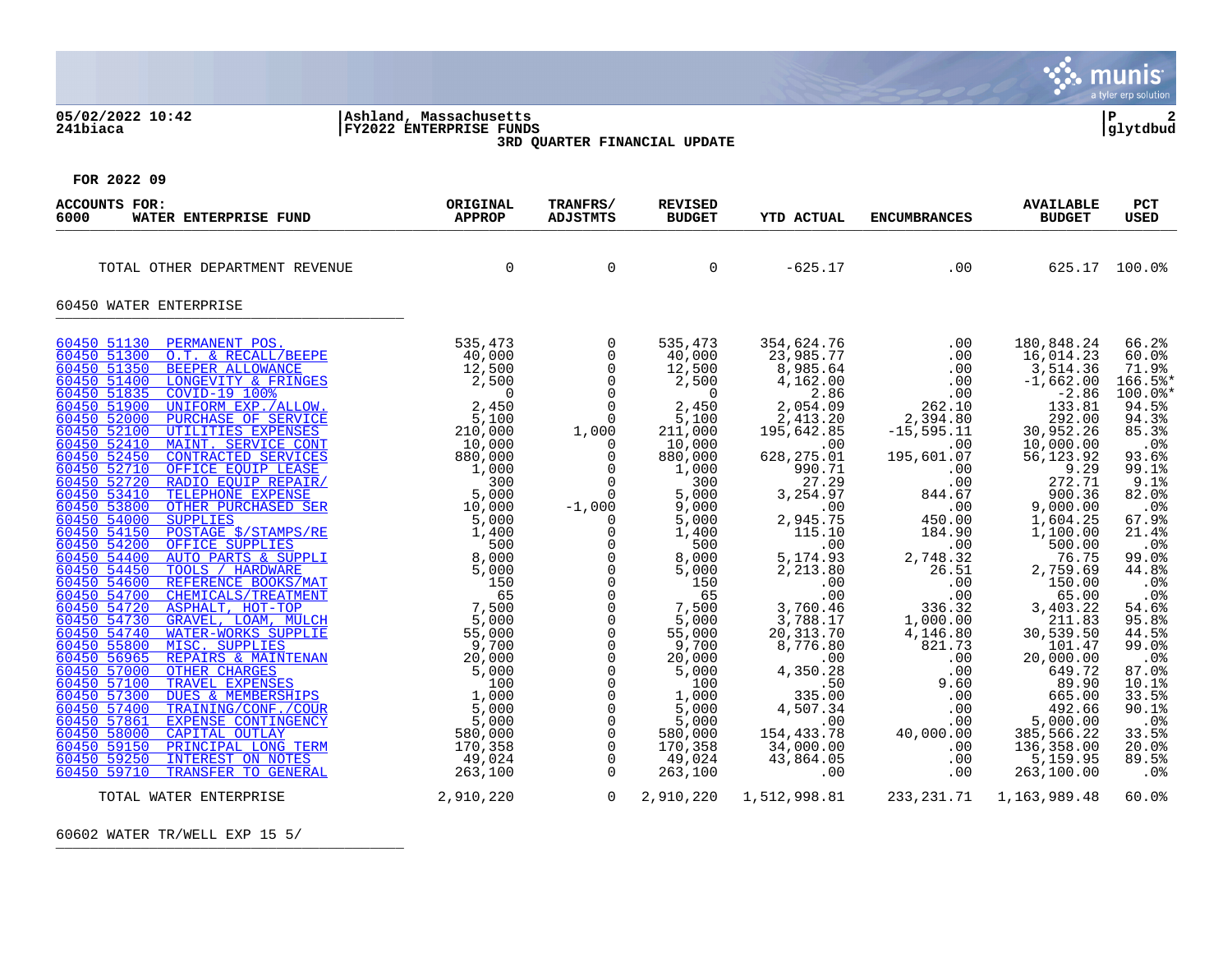#### **05/02/2022 10:42 |Ashland, Massachusetts |P 2 241biaca |FY2022 ENTERPRISE FUNDS |glytdbud 3RD QUARTER FINANCIAL UPDATE**



**FOR 2022 09**

| <b>ACCOUNTS FOR:</b><br>6000<br>WATER ENTERPRISE FUND | ORIGINAL<br><b>APPROP</b> | TRANFRS/<br><b>ADJSTMTS</b>                                                                                                                                                                                                                                                                                                                                                                                           | <b>REVISED</b><br><b>BUDGET</b>                                                                                                                                                                                                                                                                                                   | <b>YTD ACTUAL</b>                                                                                                                                                                                                                                                                                                                                                                                                                                                | <b>ENCUMBRANCES</b>                                                                                                                                                                                                                                                                                                                                                                                                                                                                                                                               | <b>AVAILABLE</b><br><b>BUDGET</b>                                                                                                                                                                                                                                                                                                                                                                               | <b>PCT</b><br><b>USED</b>                                                                                                                                                                                                                                                                                                         |
|-------------------------------------------------------|---------------------------|-----------------------------------------------------------------------------------------------------------------------------------------------------------------------------------------------------------------------------------------------------------------------------------------------------------------------------------------------------------------------------------------------------------------------|-----------------------------------------------------------------------------------------------------------------------------------------------------------------------------------------------------------------------------------------------------------------------------------------------------------------------------------|------------------------------------------------------------------------------------------------------------------------------------------------------------------------------------------------------------------------------------------------------------------------------------------------------------------------------------------------------------------------------------------------------------------------------------------------------------------|---------------------------------------------------------------------------------------------------------------------------------------------------------------------------------------------------------------------------------------------------------------------------------------------------------------------------------------------------------------------------------------------------------------------------------------------------------------------------------------------------------------------------------------------------|-----------------------------------------------------------------------------------------------------------------------------------------------------------------------------------------------------------------------------------------------------------------------------------------------------------------------------------------------------------------------------------------------------------------|-----------------------------------------------------------------------------------------------------------------------------------------------------------------------------------------------------------------------------------------------------------------------------------------------------------------------------------|
| TOTAL OTHER DEPARTMENT REVENUE                        | $\Omega$                  | $\Omega$                                                                                                                                                                                                                                                                                                                                                                                                              | $\Omega$                                                                                                                                                                                                                                                                                                                          | $-625.17$                                                                                                                                                                                                                                                                                                                                                                                                                                                        | .00                                                                                                                                                                                                                                                                                                                                                                                                                                                                                                                                               |                                                                                                                                                                                                                                                                                                                                                                                                                 | 625.17 100.0%                                                                                                                                                                                                                                                                                                                     |
| 60450 WATER ENTERPRISE                                |                           |                                                                                                                                                                                                                                                                                                                                                                                                                       |                                                                                                                                                                                                                                                                                                                                   |                                                                                                                                                                                                                                                                                                                                                                                                                                                                  |                                                                                                                                                                                                                                                                                                                                                                                                                                                                                                                                                   |                                                                                                                                                                                                                                                                                                                                                                                                                 |                                                                                                                                                                                                                                                                                                                                   |
|                                                       |                           | $\mathbf 0$<br>$\mathsf{O}$<br>$\overline{0}$<br>$\overline{0}$<br>$\overline{0}$<br>$\overline{0}$<br>$\Omega$<br>$\Omega$<br>$\mathbf 0$<br>$\mathsf{O}$<br>$\overline{0}$<br>0<br>$\overline{0}$<br>$\overline{0}$<br>$\overline{0}$<br>$\mathsf{O}$<br>$\mathsf{O}$<br>$\mathsf{O}$<br>$\mathsf 0$<br>$\overline{0}$<br>$\overline{0}$<br>$\overline{0}$<br>$\begin{bmatrix} 0 \\ 0 \\ 0 \\ 0 \\ 0 \end{bmatrix}$ | 535,473<br>40,000<br>12,500<br>2,500<br>$\sim$ 0<br>2,450<br>5,100<br>211,000<br>10,000<br>880,000<br>1,000<br>300<br>5,000<br>9,000<br>5,000<br>1,400<br>500<br>8,000<br>5,000<br>150<br>65<br>7,500<br>5,000<br>55,000<br>9,700<br>20,000<br>5,000<br>100<br>1,000<br>5,000<br>5,000<br>580,000<br>170,358<br>49,024<br>263,100 | 354,624.76<br>23,985.77<br>8,985.64<br>4,162.00<br>2.86<br>2,054.09<br>2,413.20<br>$2,413.20$<br>195,642.85<br>195,642.80<br>628,275.01<br>990.71<br>27.29<br>3,254.97<br>$00$ .<br>2,945.75<br>2,945.75<br>115.10<br>.00<br>5,174.93<br>2,213.80<br>$\begin{array}{c} .00 \\ .00 \end{array}$<br>3,760.46<br>3,788.17<br>20, 313.70<br>8,776.80<br>$4,350.28$<br>50.50<br>$335.00$<br>4,507.34<br>$\sim$ 00<br>154,433.78<br>$34,000.00$<br>$43,864.05$<br>$00$ | $\begin{array}{c} .00 \ .00 \ .00 \ .00 \ .00 \ .00 \ .262.10 \end{array}$<br>2,394.80<br>$-15, 595.11$<br>.00<br>195,601.07<br>$844.67$<br>00<br>00<br>00<br>$\begin{array}{c} \texttt{.00} \\ \texttt{450.00} \end{array}$<br>$184.90$<br>2,748.32<br>26.51<br>.00<br>.00<br>$336.32$<br>1,000.00<br>4,146.80<br>$\begin{array}{cccc} 4\, , 146 \, . \, 80 & 30 \, , \ 821 \, . \, 73 & 0 & 20 \, , \ 00 & 0 & 20 \, , \ 00 & 0 & 0 & 5 \, , \ 00 & 00 & 5 \, , \ 40\, , 000 \, . \, 00 & 385 \, , \ 00 & 136 \, , \ 00 & 263 \, , \end{array}$ | 180,848.24<br>16,014.23<br>3,514.36<br>$-1,662.00$<br>$-2.86$<br>133.81<br>292.00<br>30,952.26<br>10,000.00<br>56,123.92<br>9.29<br>272.71<br>900.36<br>9,000.00<br>1,604.25<br>1,100.00<br>500.00<br>$76.75$<br>2,759.69<br>150.00<br>65.00<br>3,403.22<br>211.83<br>30,539.50<br>101.47<br>20,000.00<br>649.72<br>89.90<br>665.00<br>492.66<br>5,000.00<br>385,566.22<br>136,358.00<br>5,159.95<br>263,100.00 | 66.2%<br>60.0%<br>71.9%<br>166.5%*<br>$100.0$ *<br>94.5%<br>94.3%<br>85.3%<br>$.0\%$<br>93.6%<br>99.1%<br>9.1%<br>82.0%<br>.0%<br>67.9%<br>21.4%<br>.0 <sub>8</sub><br>99.0%<br>44.8%<br>.0%<br>.0%<br>54.6%<br>95.8%<br>44.5%<br>99.0%<br>$.0\%$<br>87.0%<br>10.1%<br>33.5%<br>90.1%<br>.0%<br>33.5%<br>20.0%<br>89.5%<br>$.0\%$ |
| TOTAL WATER ENTERPRISE                                | 2,910,220                 | $\overline{0}$                                                                                                                                                                                                                                                                                                                                                                                                        |                                                                                                                                                                                                                                                                                                                                   | 2,910,220 1,512,998.81                                                                                                                                                                                                                                                                                                                                                                                                                                           |                                                                                                                                                                                                                                                                                                                                                                                                                                                                                                                                                   | 233, 231.71 1, 163, 989.48                                                                                                                                                                                                                                                                                                                                                                                      | 60.0%                                                                                                                                                                                                                                                                                                                             |

60602 WATER TR/WELL EXP 15 5/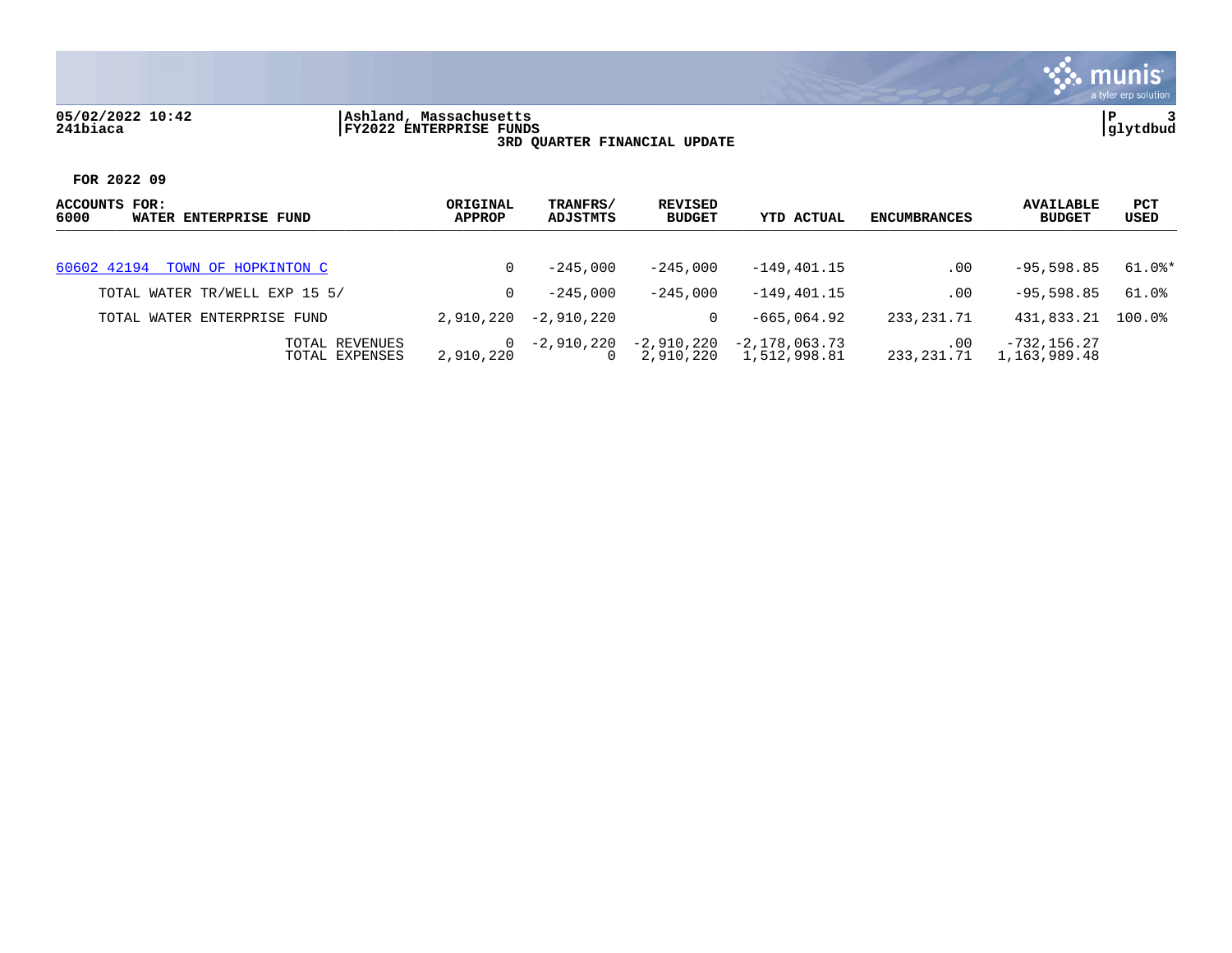## **05/02/2022 10:42 |Ashland, Massachusetts |P 3 241biaca |FY2022 ENTERPRISE FUNDS |glytdbud 3RD QUARTER FINANCIAL UPDATE**



| ACCOUNTS FOR:<br>6000<br>WATER ENTERPRISE FUND | ORIGINAL<br><b>APPROP</b> | TRANFRS/<br>ADJSTMTS | REVISED<br><b>BUDGET</b> | <b>YTD ACTUAL</b>             | ENCUMBRANCES      | <b>AVAILABLE</b><br><b>BUDGET</b> | <b>PCT</b><br>USED |
|------------------------------------------------|---------------------------|----------------------|--------------------------|-------------------------------|-------------------|-----------------------------------|--------------------|
| 60602 42194 TOWN OF HOPKINTON C                | 0                         | $-245.000$           | $-245.000$               | $-149.401.15$                 | .00               | $-95.598.85$                      | 61.0%*             |
| TOTAL WATER TR/WELL EXP 15 5/                  | 0                         | $-245.000$           | $-245.000$               | $-149.401.15$                 | .00               | $-95.598.85$                      | 61.0%              |
| TOTAL WATER ENTERPRISE FUND                    | 2,910,220                 | -2,910,220           |                          | $-665.064.92$                 | 233, 231, 71      | 431,833.21                        | $100.0$ °          |
| TOTAL REVENUES<br>TOTAL EXPENSES               | $\Omega$<br>2,910,220     | -2,910,220           | -2,910,220<br>2,910,220  | -2,178,063.73<br>1,512,998.81 | .00<br>233,231.71 | $-732, 156.27$<br>1,163,989.48    |                    |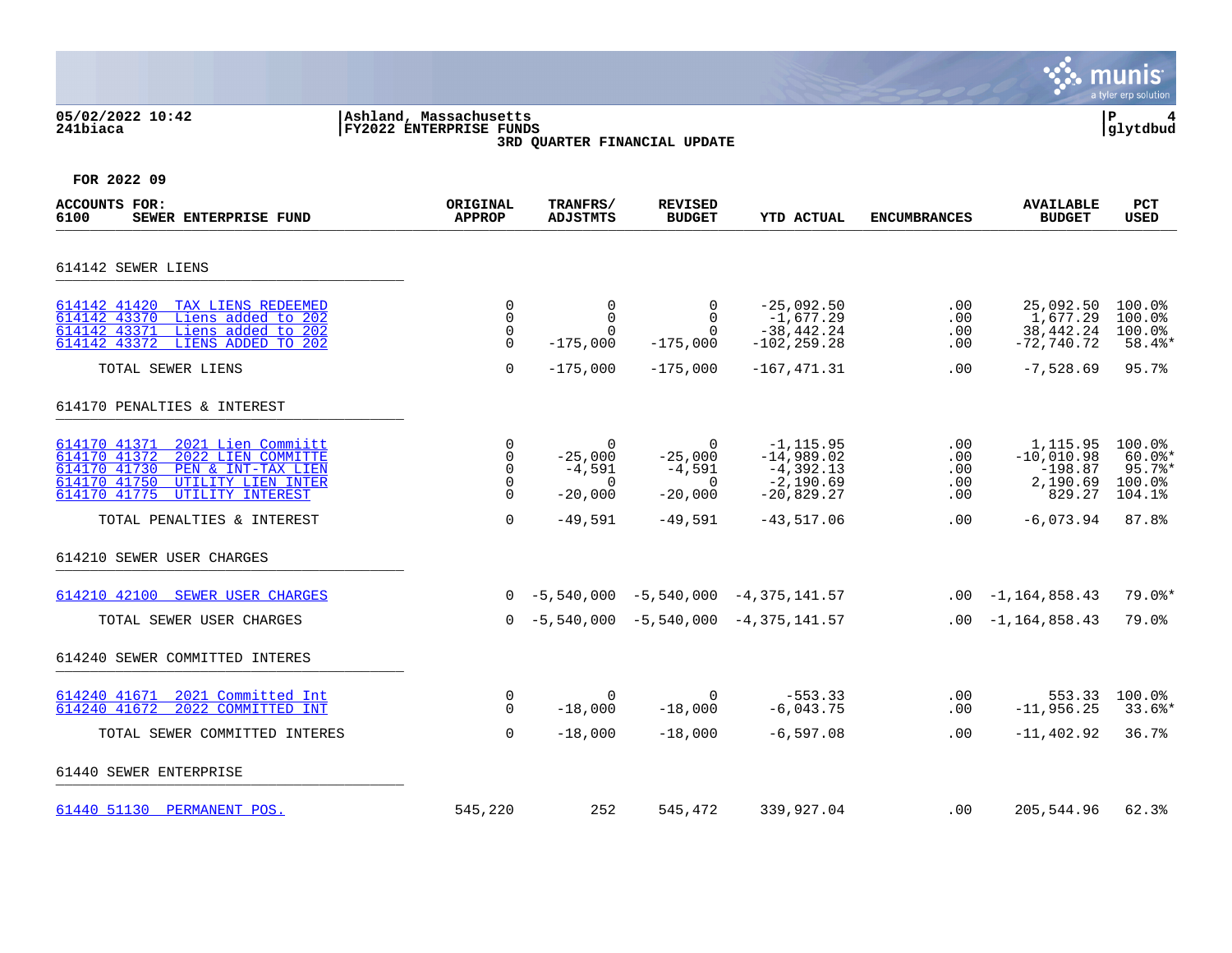#### **05/02/2022 10:42 |Ashland, Massachusetts |P 4 241biaca |FY2022 ENTERPRISE FUNDS |glytdbud 3RD QUARTER FINANCIAL UPDATE**



| <b>ACCOUNTS FOR:</b><br>6100<br>SEWER ENTERPRISE FUND                                                                                                                                                                  | ORIGINAL<br><b>APPROP</b>                                    | TRANFRS/<br><b>ADJSTMTS</b>                                                | <b>REVISED</b><br><b>BUDGET</b>                                     | <b>YTD ACTUAL</b>                                                                          | <b>ENCUMBRANCES</b>                    | <b>AVAILABLE</b><br><b>BUDGET</b>                                          | <b>PCT</b><br><b>USED</b>                                    |
|------------------------------------------------------------------------------------------------------------------------------------------------------------------------------------------------------------------------|--------------------------------------------------------------|----------------------------------------------------------------------------|---------------------------------------------------------------------|--------------------------------------------------------------------------------------------|----------------------------------------|----------------------------------------------------------------------------|--------------------------------------------------------------|
| 614142 SEWER LIENS                                                                                                                                                                                                     |                                                              |                                                                            |                                                                     |                                                                                            |                                        |                                                                            |                                                              |
| 614142 41420 TAX LIENS REDEEMED<br>Liens added to 202<br>614142 43370<br>614142 43371<br>Liens added to 202<br>LIENS ADDED TO 202<br>614142 43372                                                                      | 0<br>0<br>$\mathbf 0$<br>0                                   | 0<br>$\mathbf 0$<br>$\Omega$<br>$-175,000$                                 | 0<br>$\Omega$<br>$\Omega$<br>$-175,000$                             | $-25,092.50$<br>$-1,677.29$<br>$-38, 442.24$<br>$-102, 259.28$                             | .00<br>.00<br>.00<br>.00               | 25,092.50<br>1,677.29<br>38,442.24<br>$-72,740.72$                         | 100.0%<br>100.0%<br>100.0%<br>58.4%*                         |
| TOTAL SEWER LIENS                                                                                                                                                                                                      | 0                                                            | $-175,000$                                                                 | $-175,000$                                                          | $-167, 471.31$                                                                             | .00                                    | $-7,528.69$                                                                | 95.7%                                                        |
| 614170 PENALTIES & INTEREST                                                                                                                                                                                            |                                                              |                                                                            |                                                                     |                                                                                            |                                        |                                                                            |                                                              |
| 614170 41371<br>2021 Lien Commiitt<br>614170 41372<br>2022 LIEN COMMITTE<br>614170 41730<br>PEN & INT-TAX LIEN<br>614170 41750<br>UTILITY LIEN INTER<br>614170 41775<br>UTILITY INTEREST<br>TOTAL PENALTIES & INTEREST | 0<br>$\mathbf 0$<br>0<br>$\mathbf 0$<br>$\Omega$<br>$\Omega$ | $\mathbf 0$<br>$-25.000$<br>$-4,591$<br>$\Omega$<br>$-20,000$<br>$-49,591$ | 0<br>$-25,000$<br>$-4,591$<br>$\mathbf 0$<br>$-20,000$<br>$-49,591$ | $-1, 115.95$<br>$-14,989.02$<br>$-4,392.13$<br>$-2,190.69$<br>$-20,829.27$<br>$-43,517.06$ | .00<br>.00<br>.00<br>.00<br>.00<br>.00 | 1,115.95<br>$-10.010.98$<br>$-198.87$<br>2,190.69<br>829.27<br>$-6,073.94$ | 100.0%<br>$60.0$ *<br>$95.7$ %*<br>100.0%<br>104.1%<br>87.8% |
| 614210 SEWER USER CHARGES                                                                                                                                                                                              |                                                              |                                                                            |                                                                     |                                                                                            |                                        |                                                                            |                                                              |
| 614210 42100<br>SEWER USER CHARGES                                                                                                                                                                                     |                                                              |                                                                            |                                                                     | $0 - 5,540,000 - 5,540,000 - 4,375,141.57$                                                 |                                        | $.00 - 1,164,858.43$                                                       | $79.0$ *                                                     |
| TOTAL SEWER USER CHARGES                                                                                                                                                                                               |                                                              |                                                                            |                                                                     | $0 -5,540,000 -5,540,000 -4,375,141.57$                                                    |                                        | $.00 - 1,164,858.43$                                                       | 79.0%                                                        |
| 614240 SEWER COMMITTED INTERES                                                                                                                                                                                         |                                                              |                                                                            |                                                                     |                                                                                            |                                        |                                                                            |                                                              |
| 2021 Committed Int<br>614240 41671<br>2022 COMMITTED INT<br>614240 41672                                                                                                                                               | 0<br>$\Omega$                                                | $\mathbf 0$<br>$-18,000$                                                   | $\Omega$<br>$-18,000$                                               | $-553.33$<br>$-6,043.75$                                                                   | $.00 \,$<br>.00                        | 553.33<br>$-11,956.25$                                                     | $100.0$ <sup>8</sup><br>$33.6$ *                             |
| TOTAL SEWER COMMITTED INTERES                                                                                                                                                                                          | $\Omega$                                                     | $-18,000$                                                                  | $-18,000$                                                           | $-6, 597.08$                                                                               | $.00 \,$                               | $-11, 402.92$                                                              | 36.7%                                                        |
| 61440 SEWER ENTERPRISE                                                                                                                                                                                                 |                                                              |                                                                            |                                                                     |                                                                                            |                                        |                                                                            |                                                              |
| 61440 51130 PERMANENT POS.                                                                                                                                                                                             | 545,220                                                      | 252                                                                        | 545,472                                                             | 339,927.04                                                                                 | .00                                    | 205,544.96                                                                 | 62.3%                                                        |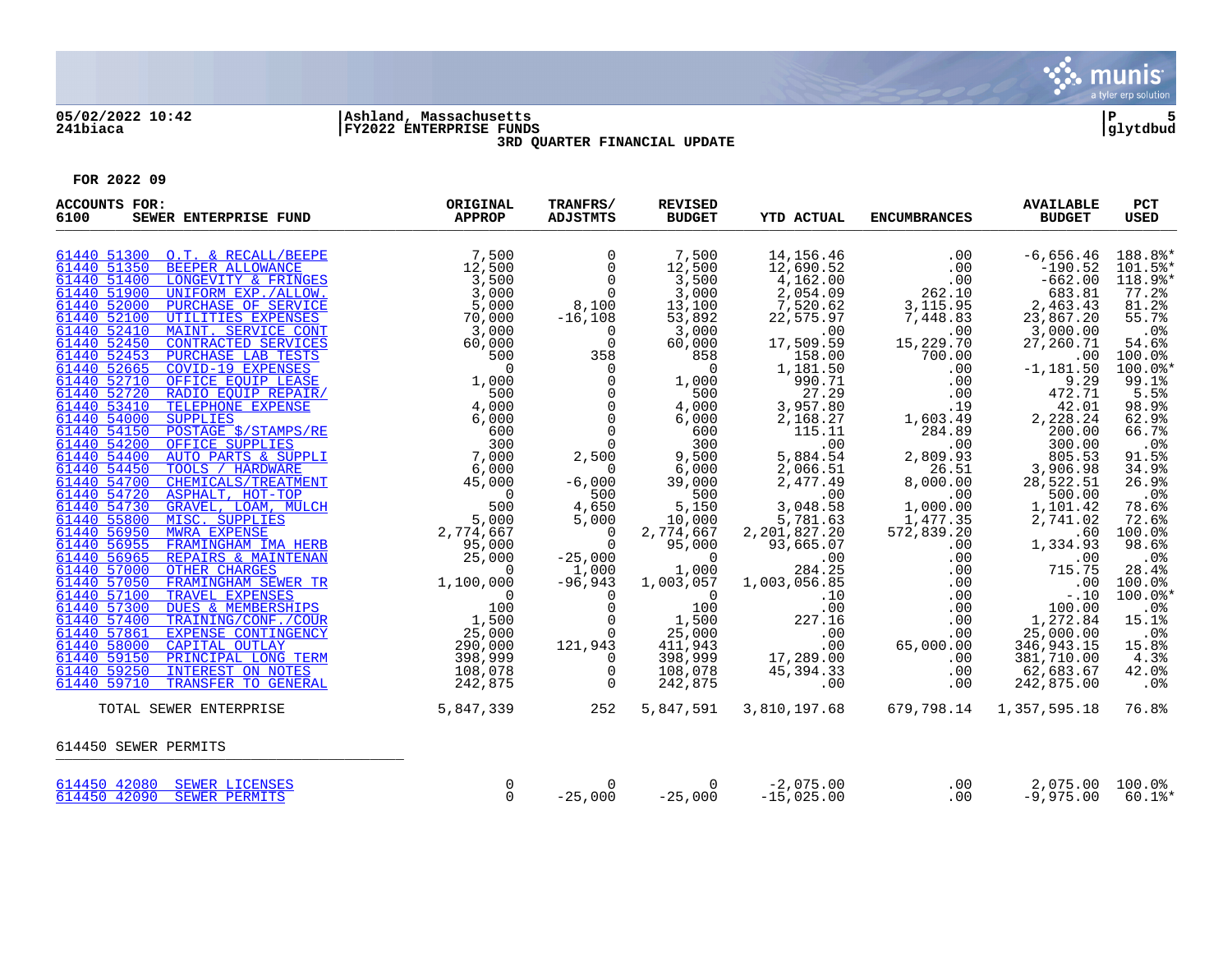

# **05/02/2022 10:42 |Ashland, Massachusetts |P 5 241biaca |FY2022 ENTERPRISE FUNDS |glytdbud**



**3RD QUARTER FINANCIAL UPDATE**

| <b>ACCOUNTS FOR:</b><br>6100<br>SEWER ENTERPRISE FUND | ORIGINAL<br>APPROP | TRANFRS/<br><b>ADJSTMTS</b>                           | <b>REVISED</b><br><b>BUDGET</b>                | <b>YTD ACTUAL</b>                                                                   | <b>ENCUMBRANCES</b>                                                                                                                                                                                                                                                                                                                       | <b>AVAILABLE</b><br><b>BUDGET</b> | PCT<br><b>USED</b> |
|-------------------------------------------------------|--------------------|-------------------------------------------------------|------------------------------------------------|-------------------------------------------------------------------------------------|-------------------------------------------------------------------------------------------------------------------------------------------------------------------------------------------------------------------------------------------------------------------------------------------------------------------------------------------|-----------------------------------|--------------------|
|                                                       |                    | $\begin{matrix}0\\0\\0\\0\end{matrix}$                | 7,500                                          | 14,156.46                                                                           | $\sim$ 00                                                                                                                                                                                                                                                                                                                                 | $-6,656.46$ 188.8%*               |                    |
|                                                       |                    |                                                       | 12,500                                         | 12,690.52                                                                           | $\begin{array}{r} .00\ 0.00\ 0.01\ 0.01\ 0.01\ 0.01\ 0.01\ 0.01\ 0.02\ 0.02\ 0.03\ 0.03\ 0.03\ 0.04\ 0.03\ 0.04\ 0.03\ 0.04\ 0.04\ 0.05\ 0.06\ 0.07\ 0.07\ 0.08\ 0.08\ 0.07\ 0.07\ 0.08\ 0.08\ 0.09\ 0.09\ 0.01\ 0.01\ 0.01\ 0.01\ 0.01$                                                                                                  | $-190.52$                         | 101.5%*            |
|                                                       |                    |                                                       | $\frac{1}{3}, \frac{5}{00}$<br>3,000           | 4,162.00                                                                            |                                                                                                                                                                                                                                                                                                                                           | $-662.00$                         | 118.9%*            |
|                                                       |                    |                                                       |                                                | $2,054.09$<br>7,520.62                                                              |                                                                                                                                                                                                                                                                                                                                           | 683.81                            | $77.2$ $%$         |
|                                                       |                    | 8,100                                                 | 13,100                                         |                                                                                     |                                                                                                                                                                                                                                                                                                                                           | 2,463.43                          | 81.2%              |
|                                                       |                    | $-16, 108$                                            | 53,892                                         | 22,575.97                                                                           |                                                                                                                                                                                                                                                                                                                                           | 23,867.20                         | 55.7%              |
|                                                       |                    | $\Omega$                                              | $3,000$<br>60,000                              | $.00$<br>17,509.59                                                                  | $\overline{00}$                                                                                                                                                                                                                                                                                                                           | $3,000.00$<br>27,260.71           | .0%                |
|                                                       |                    | $\begin{array}{c}\n35c \\ 0\n\end{array}$             |                                                |                                                                                     | 15,229.70<br>$\begin{bmatrix} 2 & 2 & 3 & 7 & 1 & 0 \\ 7 & 0 & 0 & 0 & 0 \\ 0 & 0 & 0 & 0 & 0 \\ 0 & 0 & 0 & 0 & 0 \\ 0 & 0 & 0 & 0 & 0 \\ 0 & 0 & 0 & 0 & 0 \\ 0 & 0 & 0 & 0 & 0 \\ 0 & 0 & 0 & 0 & 0 \\ 0 & 0 & 0 & 0 & 0 \\ 0 & 0 & 0 & 0 & 0 \\ 0 & 0 & 0 & 0 & 0 \\ 0 & 0 & 0 & 0 & 0 \\ 0 & 0 & 0 & 0 & 0 \\ 0 & 0 & 0 & 0 & 0 \\ $ |                                   | 54.6%              |
|                                                       |                    |                                                       | 858<br>$\overline{0}$                          | 158.00                                                                              |                                                                                                                                                                                                                                                                                                                                           | .00                               | 100.0%             |
|                                                       |                    |                                                       |                                                | 1,181.50                                                                            |                                                                                                                                                                                                                                                                                                                                           | $-1,181.50$<br>9.29               | $100.0$ *<br>99.1% |
|                                                       |                    | $\overline{0}$                                        | 1,000<br>500                                   | 990.71<br>27.29                                                                     |                                                                                                                                                                                                                                                                                                                                           | 472.71                            | 5.5%               |
|                                                       |                    | $\overline{0}$                                        | 4,000                                          | 3,957.80                                                                            |                                                                                                                                                                                                                                                                                                                                           | 42.01                             | 98.9%              |
|                                                       |                    | $\overline{0}$                                        |                                                | 2,168.27                                                                            |                                                                                                                                                                                                                                                                                                                                           | 2,228.24                          | 62.9%              |
|                                                       |                    | $\overline{0}$                                        | $6,000$<br>$600$                               | 115.11                                                                              | $1,603.49$<br>$284.89$<br>284.89                                                                                                                                                                                                                                                                                                          | 200.00                            | 66.7%              |
|                                                       |                    |                                                       |                                                | .00                                                                                 |                                                                                                                                                                                                                                                                                                                                           | 300.00                            | $.0\%$             |
|                                                       |                    | $\frac{0}{2,500}$                                     | $600$<br>300<br>9 Fr                           | 5,884.54                                                                            | $\begin{array}{r} 201.00 \ 0.00 \ 2,809.93 \ 26.51 \ 8,000.00 \ 0.00 \end{array}$                                                                                                                                                                                                                                                         | 805.53                            | 91.5%              |
|                                                       |                    | $\overline{0}$                                        | 6,000                                          | 2,066.51                                                                            |                                                                                                                                                                                                                                                                                                                                           | 3,906.98                          | 34.9%              |
|                                                       |                    | $-6,000$                                              |                                                | 2,477.49                                                                            |                                                                                                                                                                                                                                                                                                                                           | 28,522.51                         | 26.9%              |
|                                                       |                    | 500                                                   | 39,000<br>500                                  | .00                                                                                 |                                                                                                                                                                                                                                                                                                                                           |                                   | .0%                |
|                                                       |                    | 4,650                                                 | 5,150                                          | 3,048.58                                                                            |                                                                                                                                                                                                                                                                                                                                           |                                   | 78.6%              |
|                                                       |                    | 5,000                                                 | 10,000                                         | 5,781.63<br>2,201,827.20                                                            |                                                                                                                                                                                                                                                                                                                                           |                                   | 72.6%              |
|                                                       |                    | $\begin{matrix} 0 \\ 0 \end{matrix}$                  | 2,774,667                                      |                                                                                     |                                                                                                                                                                                                                                                                                                                                           |                                   | 100.0%             |
|                                                       |                    |                                                       | 95,000                                         | 93,665.07                                                                           |                                                                                                                                                                                                                                                                                                                                           |                                   | 98.6%              |
|                                                       |                    | $-25,000$                                             | $\begin{array}{c} 0 \\ 0 \\ 1.000 \end{array}$ | $\overline{00}$                                                                     |                                                                                                                                                                                                                                                                                                                                           |                                   | .0%                |
|                                                       |                    | 1,000                                                 | 1,000                                          | 284.25                                                                              |                                                                                                                                                                                                                                                                                                                                           |                                   | 28.4%              |
|                                                       |                    | -96,943                                               | 1,003,057                                      | 1,003,056.85                                                                        |                                                                                                                                                                                                                                                                                                                                           |                                   | 100.0%             |
|                                                       |                    | $\begin{matrix} 0 \\ 0 \\ 0 \end{matrix}$             | $\begin{array}{c} 0 \\ 100 \end{array}$        |                                                                                     |                                                                                                                                                                                                                                                                                                                                           |                                   | 100.0%*            |
|                                                       |                    |                                                       |                                                |                                                                                     |                                                                                                                                                                                                                                                                                                                                           |                                   | .0%                |
|                                                       |                    |                                                       | $\frac{1}{25}$ , 000                           |                                                                                     |                                                                                                                                                                                                                                                                                                                                           |                                   | 15.1%              |
|                                                       |                    | $\begin{smallmatrix}&&0\0\0\121,943\end{smallmatrix}$ |                                                | $1,003,030$<br>.10<br>.00<br>.00<br>227.16<br>.00<br>.00<br>17,289.00<br>.17,289.00 |                                                                                                                                                                                                                                                                                                                                           |                                   | .0%                |
|                                                       |                    | $\overline{0}$                                        | 411,943                                        |                                                                                     |                                                                                                                                                                                                                                                                                                                                           |                                   | 15.8%              |
|                                                       |                    | $\mathbf 0$                                           | 398,999<br>108,078                             |                                                                                     |                                                                                                                                                                                                                                                                                                                                           |                                   | 4.3%<br>42.0%      |
|                                                       |                    | $\Omega$                                              | 242,875                                        | 45, 394.33<br>.00                                                                   |                                                                                                                                                                                                                                                                                                                                           |                                   | .0%                |
|                                                       |                    |                                                       |                                                |                                                                                     | $\begin{array}{cccc} 8\, , 000\, . 00 & 28\, , 522\, .51\, \\ 0.00 & 500\, . 00 & 500\, . 00\, \\ 1\, , 000\, . 00 & 1\, , 101\, .42\, \\ 572\, , 839\, . 20 & 2\, , 741\, . 02\, \\ 0.00 & 1\, , 334\, . 93\, \\ 0.00 & 715\, .75\, \\ 0.00 & 715\, .75\, \\ 0.00 & 100\, . 00\, \\ $                                                    |                                   |                    |
| TOTAL SEWER ENTERPRISE                                | 5,847,339          | 252                                                   |                                                |                                                                                     |                                                                                                                                                                                                                                                                                                                                           |                                   | 76.8%              |
| 614450 SEWER PERMITS                                  |                    |                                                       |                                                |                                                                                     |                                                                                                                                                                                                                                                                                                                                           |                                   |                    |
| 614450 42080 SEWER LICENSES                           | 0                  | $\Omega$                                              | $\Omega$                                       | $-2,075.00$                                                                         | .00                                                                                                                                                                                                                                                                                                                                       | 2,075.00 100.0%                   |                    |
| 614450 42090 SEWER PERMITS                            | $\Omega$           | $-25,000$                                             | $-25,000$                                      | $-15,025.00$                                                                        | .00                                                                                                                                                                                                                                                                                                                                       | $-9,975,00$                       | $60.1$ %*          |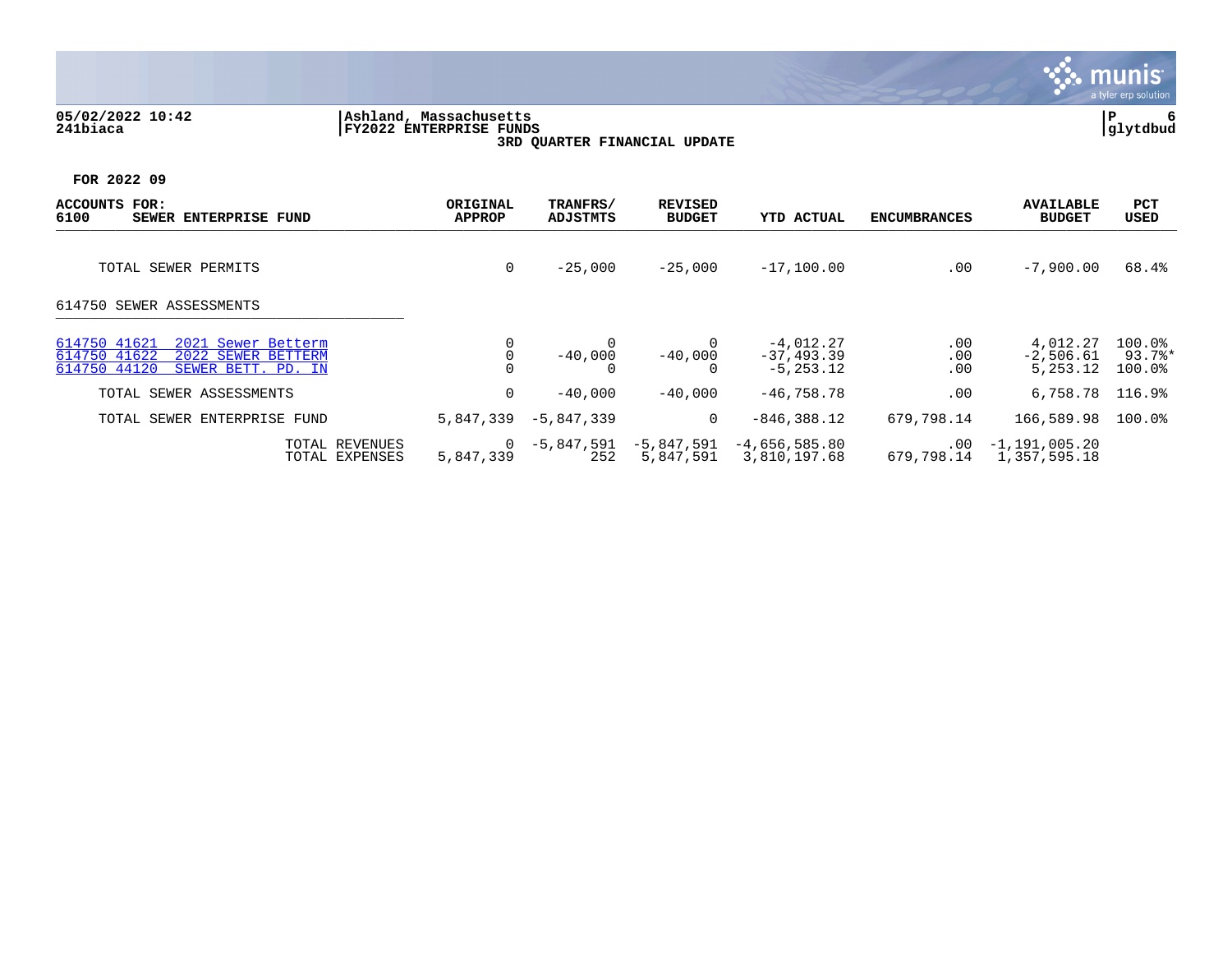#### **05/02/2022 10:42 |Ashland, Massachusetts |P 6 241biaca |FY2022 ENTERPRISE FUNDS |glytdbud 3RD QUARTER FINANCIAL UPDATE**



| <b>ACCOUNTS</b><br>FOR:<br>6100<br>SEWER ENTERPRISE FUND                                                       | ORIGINAL<br><b>APPROP</b> | TRANFRS/<br>ADJSTMTS | <b>REVISED</b><br><b>BUDGET</b> | <b>YTD ACTUAL</b>                             | <b>ENCUMBRANCES</b>    | <b>AVAILABLE</b><br><b>BUDGET</b>   | <b>PCT</b><br>USED         |
|----------------------------------------------------------------------------------------------------------------|---------------------------|----------------------|---------------------------------|-----------------------------------------------|------------------------|-------------------------------------|----------------------------|
| TOTAL SEWER PERMITS                                                                                            | 0                         | $-25,000$            | $-25,000$                       | $-17,100.00$                                  | .00                    | $-7,900.00$                         | 68.4%                      |
| 614750 SEWER ASSESSMENTS                                                                                       |                           |                      |                                 |                                               |                        |                                     |                            |
| 2021 Sewer Betterm<br>614750 41621<br>614750 41622<br>2022 SEWER BETTERM<br>614750 44120<br>SEWER BETT. PD. IN |                           | $-40,000$            | $-40,000$                       | $-4,012.27$<br>$-37, 493.39$<br>$-5, 253, 12$ | .00<br>.00<br>.00      | 4,012.27<br>$-2,506.61$<br>5,253.12 | 100.0%<br>93.7%*<br>100.0% |
| TOTAL SEWER ASSESSMENTS                                                                                        | 0                         | $-40.000$            | $-40,000$                       | $-46,758.78$                                  | .00                    | 6,758.78                            | 116.9%                     |
| TOTAL SEWER ENTERPRISE FUND                                                                                    | 5,847,339                 | $-5,847,339$         | 0                               | $-846,388.12$                                 | 679,798.14             | 166,589.98                          | $100.0$ $^{\circ}$         |
| TOTAL REVENUES<br>TOTAL EXPENSES                                                                               | 0<br>5,847,339            | -5,847,591<br>252    | -5,847,591<br>5,847,591         | $-4,656,585.80$<br>3,810,197.68               | $.00 \,$<br>679,798.14 | $-1, 191, 005.20$<br>1,357,595.18   |                            |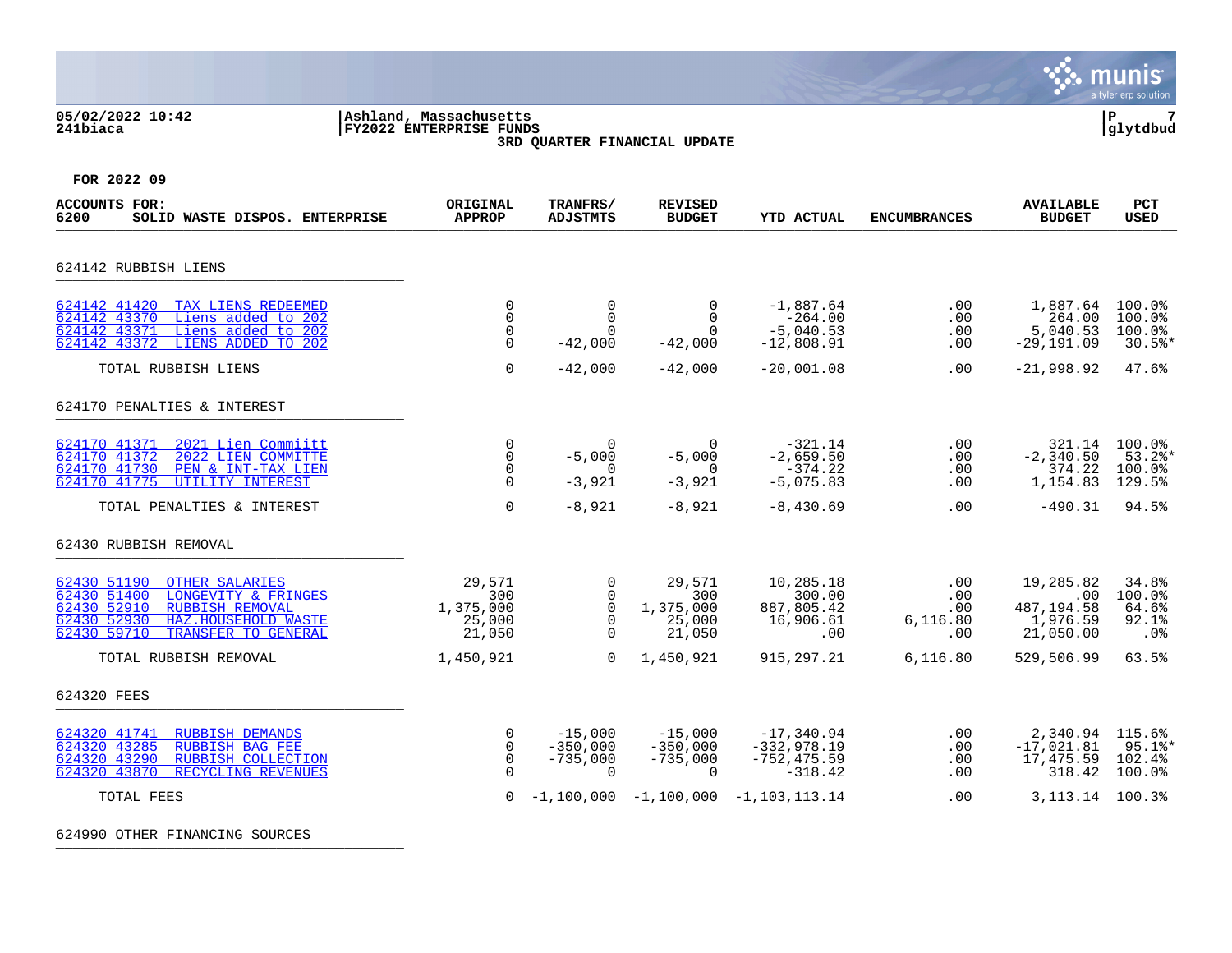## **05/02/2022 10:42 |Ashland, Massachusetts |P 7 241biaca |FY2022 ENTERPRISE FUNDS |glytdbud 3RD QUARTER FINANCIAL UPDATE**



**FOR 2022 09**

| <b>ACCOUNTS FOR:</b><br>SOLID WASTE DISPOS. ENTERPRISE<br>6200                                                                                                                                  | ORIGINAL<br><b>APPROP</b>                             | TRANFRS/<br><b>ADJSTMTS</b>                                                 | <b>REVISED</b><br><b>BUDGET</b>                      | <b>YTD ACTUAL</b>                                            | <b>ENCUMBRANCES</b>                  | <b>AVAILABLE</b><br><b>BUDGET</b>                       | <b>PCT</b><br><b>USED</b>                     |
|-------------------------------------------------------------------------------------------------------------------------------------------------------------------------------------------------|-------------------------------------------------------|-----------------------------------------------------------------------------|------------------------------------------------------|--------------------------------------------------------------|--------------------------------------|---------------------------------------------------------|-----------------------------------------------|
| 624142 RUBBISH LIENS                                                                                                                                                                            |                                                       |                                                                             |                                                      |                                                              |                                      |                                                         |                                               |
| 624142 41420<br>TAX LIENS REDEEMED<br>624142 43370<br>Liens added to 202<br>624142 43371<br>Liens added to 202<br>LIENS ADDED TO 202<br>624142 43372                                            | $\mathbf 0$<br>$\Omega$<br>0<br>$\Omega$              | $\mathbf 0$<br>$\Omega$<br>$\Omega$<br>$-42,000$                            | $\mathbf 0$<br>$\Omega$<br>$\Omega$<br>$-42,000$     | $-1,887.64$<br>$-264.00$<br>$-5,040.53$<br>$-12,808.91$      | .00<br>.00<br>.00<br>.00.            | 1,887.64<br>264.00<br>5,040.53<br>$-29, 191.09$         | 100.0%<br>100.0%<br>100.0%<br>30.5%           |
| TOTAL RUBBISH LIENS                                                                                                                                                                             | $\Omega$                                              | $-42,000$                                                                   | $-42,000$                                            | $-20,001.08$                                                 | .00                                  | $-21,998.92$                                            | 47.6%                                         |
| 624170 PENALTIES & INTEREST                                                                                                                                                                     |                                                       |                                                                             |                                                      |                                                              |                                      |                                                         |                                               |
| 624170 41371<br>2021 Lien Commiitt<br>624170 41372<br>2022 LIEN COMMITTE<br>624170 41730<br>PEN & INT-TAX LIEN<br>624170 41775<br>UTILITY INTEREST                                              | $\Omega$<br>$\mathbf 0$<br>$\Omega$<br>$\Omega$       | $\Omega$<br>$-5,000$<br>$\Omega$<br>$-3,921$                                | $\Omega$<br>$-5,000$<br>$\Omega$<br>$-3,921$         | $-321.14$<br>$-2,659.50$<br>$-374.22$<br>$-5,075.83$         | .00<br>.00<br>.00<br>.00             | 321.14<br>$-2, 340.50$<br>374.22<br>1,154.83            | 100.0%<br>$53.2$ *<br>100.0%<br>129.5%        |
| TOTAL PENALTIES & INTEREST                                                                                                                                                                      | $\mathbf 0$                                           | $-8,921$                                                                    | $-8,921$                                             | $-8,430.69$                                                  | .00                                  | $-490.31$                                               | 94.5%                                         |
| 62430 RUBBISH REMOVAL                                                                                                                                                                           |                                                       |                                                                             |                                                      |                                                              |                                      |                                                         |                                               |
| 62430 51190<br><b>OTHER SALARIES</b><br>62430 51400<br>LONGEVITY & FRINGES<br>62430 52910<br><b>RUBBISH REMOVAL</b><br>62430 52930<br>HAZ.HOUSEHOLD WASTE<br>62430 59710<br>TRANSFER TO GENERAL | 29,571<br>300<br>1,375,000<br>25,000<br>21,050        | $\overline{0}$<br>$\Omega$<br>$\mathsf{O}$<br>$\mathbf 0$<br>$\overline{0}$ | 29,571<br>300<br>1,375,000<br>25,000<br>21,050       | 10,285.18<br>300.00<br>887,805.42<br>16,906.61<br>.00        | .00<br>.00<br>.00<br>6,116.80<br>.00 | 19,285.82<br>.00<br>487,194.58<br>1,976.59<br>21,050.00 | 34.8%<br>100.0%<br>64.6%<br>$92.1$ $%$<br>.0% |
| TOTAL RUBBISH REMOVAL                                                                                                                                                                           | 1,450,921                                             | $\Omega$                                                                    | 1,450,921                                            | 915, 297. 21                                                 | 6, 116.80                            | 529,506.99                                              | 63.5%                                         |
| 624320 FEES                                                                                                                                                                                     |                                                       |                                                                             |                                                      |                                                              |                                      |                                                         |                                               |
| 624320 41741<br><b>RUBBISH DEMANDS</b><br>624320 43285<br><b>RUBBISH BAG FEE</b><br>624320 43290<br>RUBBISH COLLECTION<br>624320 43870<br>RECYCLING REVENUES                                    | $\mathbf 0$<br>$\mathbf 0$<br>$\mathbf 0$<br>$\Omega$ | $-15,000$<br>$-350,000$<br>$-735,000$<br>$\mathbf 0$                        | $-15,000$<br>$-350,000$<br>$-735,000$<br>$\mathbf 0$ | $-17,340.94$<br>$-332,978.19$<br>$-752, 475.59$<br>$-318.42$ | $.00 \,$<br>$.00 \,$<br>.00<br>.00   | 2,340.94 115.6%<br>$-17,021.81$<br>17,475.59<br>318.42  | $95.1$ %*<br>102.4%<br>100.0%                 |
| TOTAL FEES                                                                                                                                                                                      | $\Omega$                                              |                                                                             |                                                      | $-1,100,000 -1,100,000 -1,103,113,14$                        | .00                                  | 3, 113. 14 100. 3%                                      |                                               |

624990 OTHER FINANCING SOURCES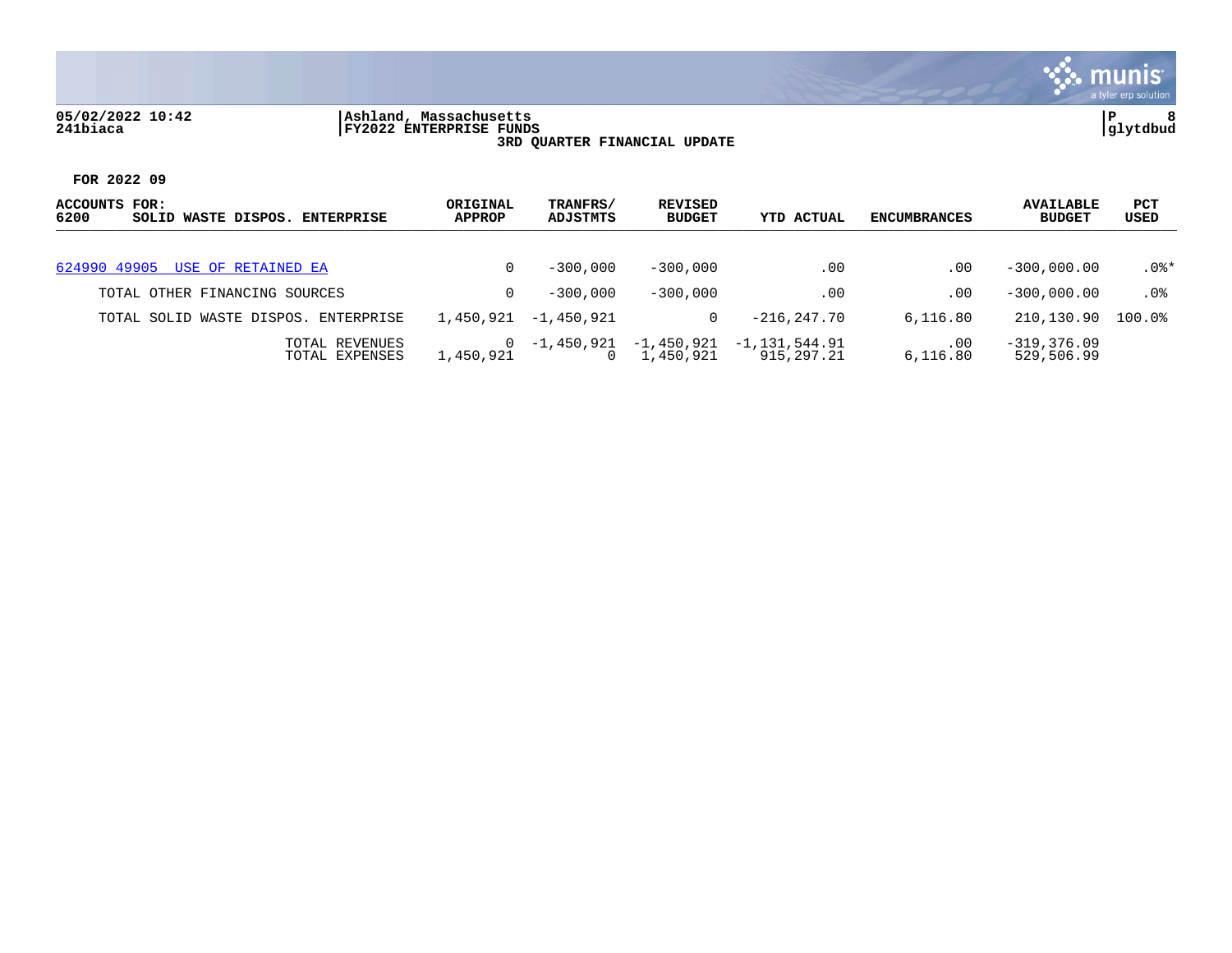## **05/02/2022 10:42 |Ashland, Massachusetts |P 8 241biaca |FY2022 ENTERPRISE FUNDS |glytdbud 3RD QUARTER FINANCIAL UPDATE**



| ACCOUNTS FOR:<br>6200<br>SOLID WASTE DISPOS.<br><b>ENTERPRISE</b> | ORIGINAL<br><b>APPROP</b> | TRANFRS/<br>ADJSTMTS   | REVISED<br><b>BUDGET</b> | <b>YTD ACTUAL</b>           | <b>ENCUMBRANCES</b>  | <b>AVAILABLE</b><br><b>BUDGET</b> | <b>PCT</b><br>USED |
|-------------------------------------------------------------------|---------------------------|------------------------|--------------------------|-----------------------------|----------------------|-----------------------------------|--------------------|
|                                                                   |                           |                        |                          |                             |                      |                                   |                    |
| 624990 49905 USE OF RETAINED EA                                   |                           | $-300,000$             | $-300.000$               | $.00 \,$                    | .00                  | $-300.000.00$                     | $.0$ %*            |
| TOTAL OTHER FINANCING SOURCES                                     |                           | $-300,000$             | $-300,000$               | .00                         | .00                  | $-300.000.00$                     | .0%                |
| TOTAL SOLID WASTE DISPOS.<br>ENTERPRISE                           | 1,450,921                 | -1,450,921             | 0                        | $-216.247.70$               | 6,116.80             | 210,130.90                        | $100.0$ %          |
| TOTAL REVENUES<br>TOTAL EXPENSES                                  | 1,450,921                 | -1,450,921<br>$\Omega$ | -1,450,921<br>1,450,921  | -1,131,544.91<br>915,297.21 | $.00 \,$<br>6,116.80 | $-319, 376.09$<br>529,506.99      |                    |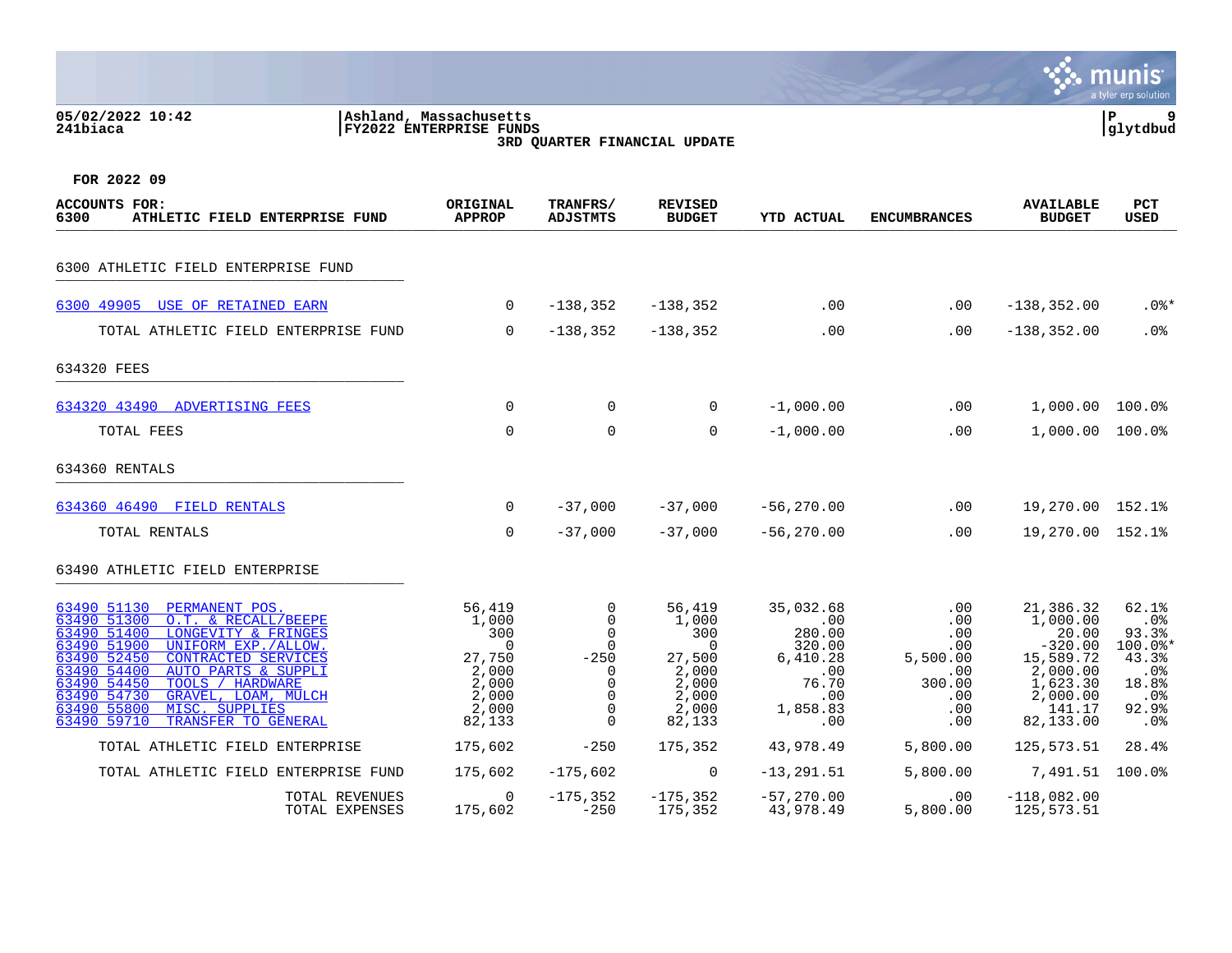|                                                                |                                                   |                             |                                 |                   |                     |                                   | munis<br>a tyler erp solution |  |
|----------------------------------------------------------------|---------------------------------------------------|-----------------------------|---------------------------------|-------------------|---------------------|-----------------------------------|-------------------------------|--|
| 05/02/2022 10:42<br>241biaca                                   | Ashland, Massachusetts<br>FY2022 ENTERPRISE FUNDS |                             | 3RD QUARTER FINANCIAL UPDATE    |                   |                     |                                   | P<br>9<br>glytdbud            |  |
| FOR 2022 09                                                    |                                                   |                             |                                 |                   |                     |                                   |                               |  |
| <b>ACCOUNTS FOR:</b><br>6300<br>ATHLETIC FIELD ENTERPRISE FUND | ORIGINAL<br><b>APPROP</b>                         | TRANFRS/<br><b>ADJSTMTS</b> | <b>REVISED</b><br><b>BUDGET</b> | <b>YTD ACTUAL</b> | <b>ENCUMBRANCES</b> | <b>AVAILABLE</b><br><b>BUDGET</b> | PCT<br><b>USED</b>            |  |
| 6300 ATHLETIC FIELD ENTERPRISE FUND                            |                                                   |                             |                                 |                   |                     |                                   |                               |  |
| USE OF RETAINED EARN<br>6300 49905                             | 0                                                 | $-138, 352$                 | $-138, 352$                     | .00               | .00                 | $-138, 352.00$                    | $.0$ %*                       |  |
| TOTAL ATHLETIC FIELD ENTERPRISE FUND                           | $\mathbf 0$                                       | $-138, 352$                 | $-138, 352$                     | .00               | .00                 | $-138, 352.00$                    | .0%                           |  |
| 634320 FEES                                                    |                                                   |                             |                                 |                   |                     |                                   |                               |  |
| 634320 43490<br><b>ADVERTISING FEES</b>                        | 0                                                 | 0                           | $\Omega$                        | $-1,000.00$       | .00                 | 1,000.00                          | 100.0%                        |  |
| TOTAL FEES                                                     | 0                                                 | $\mathbf 0$                 | 0                               | $-1,000.00$       | .00                 | 1,000.00                          | 100.0%                        |  |
| 634360 RENTALS                                                 |                                                   |                             |                                 |                   |                     |                                   |                               |  |
| 634360 46490 FIELD RENTALS                                     | 0                                                 | $-37,000$                   | $-37,000$                       | $-56, 270.00$     | .00                 | 19,270.00 152.1%                  |                               |  |
| <b>TOTAL RENTALS</b>                                           | $\overline{0}$                                    | $-37,000$                   | $-37,000$                       | $-56, 270.00$     | .00                 | 19,270.00 152.1%                  |                               |  |

# 63490 ATHLETIC FIELD ENTERPRISE \_\_\_\_\_\_\_\_\_\_\_\_\_\_\_\_\_\_\_\_\_\_\_\_\_\_\_\_\_\_\_\_\_\_\_\_\_\_\_\_\_

| 63490 51130<br>PERMANENT POS.        | 56,419  |            | 56,419         | 35,032.68     | .00      | 21,386.32     | 62.1%           |
|--------------------------------------|---------|------------|----------------|---------------|----------|---------------|-----------------|
| 63490 51300<br>O.T. & RECALL/BEEPE   | 1,000   |            | 1,000          | .00           | .00      | 1,000.00      | .0%             |
| 63490 51400<br>LONGEVITY & FRINGES   | 300     |            | 300            | 280.00        | .00      | 20.00         | 93.3%           |
| 63490 51900<br>UNIFORM EXP./ALLOW.   |         |            |                | 320.00        | .00      | $-320.00$     | $100.0$ *       |
| 63490 52450<br>CONTRACTED SERVICES   | 27,750  | $-250$     | 27,500         | 6,410.28      | 5,500.00 | 15,589.72     | 43.3%           |
| 63490 54400<br>AUTO PARTS & SUPPLI   | 2,000   |            | 2,000          | .00           | .00      | 2,000.00      | .0%             |
| 63490 54450<br>HARDWARE<br>TOOLS     | 2,000   |            | 2,000          | 76.70         | 300.00   | 1,623.30      | 18.8%           |
| 63490 54730<br>GRAVEL, LOAM, MULCH   | 2,000   |            | 2,000          | .00           | .00      | 2,000.00      | .0 <sub>8</sub> |
| 63490 55800<br>MISC. SUPPLIES        | 2,000   |            | 2,000          | 1,858.83      | .00      | 141.17        | 92.9%           |
| 63490 59710<br>TRANSFER TO GENERAL   | 82,133  |            | 82,133         | .00           | .00      | 82,133.00     | . 0%            |
| TOTAL ATHLETIC FIELD ENTERPRISE      | 175,602 | $-250$     | 175,352        | 43,978.49     | 5,800.00 | 125,573.51    | 28.4%           |
|                                      |         |            |                |               |          |               |                 |
| TOTAL ATHLETIC FIELD ENTERPRISE FUND | 175,602 | $-175.602$ | $\overline{0}$ | $-13, 291.51$ | 5,800.00 | 7,491.51      | 100.0%          |
| TOTAL REVENUES                       |         | -175,352   | -175,352       | $-57,270.00$  | $.00 \,$ | $-118,082.00$ |                 |
| TOTAL EXPENSES                       | 175,602 | $-250$     | 175,352        | 43,978.49     | 5,800.00 | 125,573.51    |                 |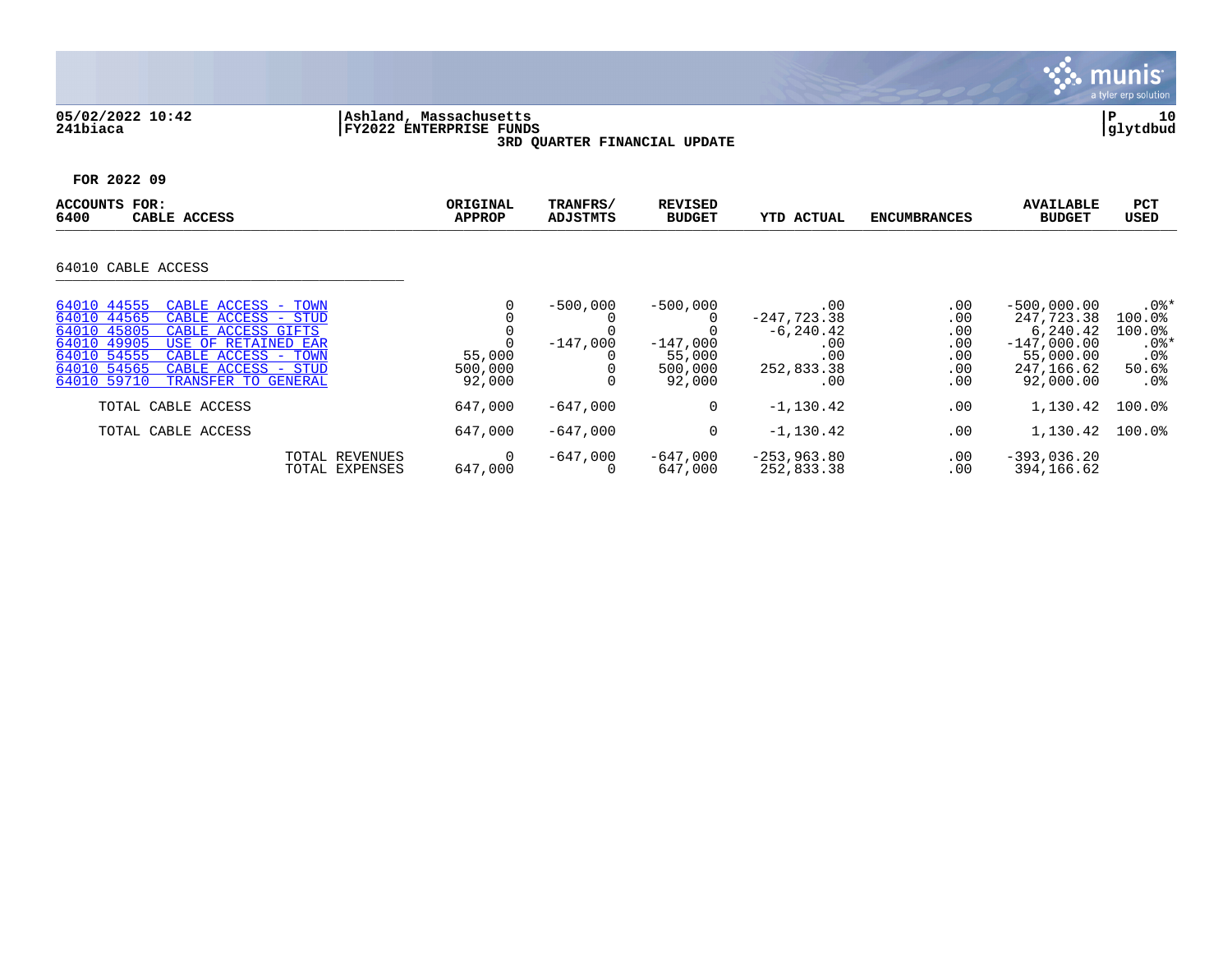

# **05/02/2022 10:42 |Ashland, Massachusetts |P 10 241biaca |FY2022 ENTERPRISE FUNDS |glytdbud 3RD QUARTER FINANCIAL UPDATE**



| ACCOUNTS<br>FOR:<br>6400<br>CABLE ACCESS                                                                                                                                                                                                                                 | ORIGINAL<br><b>APPROP</b>        | TRANFRS/<br><b>ADJSTMTS</b> | <b>REVISED</b><br><b>BUDGET</b>                         | <b>YTD ACTUAL</b>                                                       | <b>ENCUMBRANCES</b>                           | <b>AVAILABLE</b><br><b>BUDGET</b>                                                                | <b>PCT</b><br><b>USED</b>                                                    |
|--------------------------------------------------------------------------------------------------------------------------------------------------------------------------------------------------------------------------------------------------------------------------|----------------------------------|-----------------------------|---------------------------------------------------------|-------------------------------------------------------------------------|-----------------------------------------------|--------------------------------------------------------------------------------------------------|------------------------------------------------------------------------------|
| 64010 CABLE ACCESS                                                                                                                                                                                                                                                       |                                  |                             |                                                         |                                                                         |                                               |                                                                                                  |                                                                              |
|                                                                                                                                                                                                                                                                          |                                  |                             |                                                         |                                                                         |                                               |                                                                                                  |                                                                              |
| 64010 44555<br>CABLE ACCESS - TOWN<br>64010 44565<br>CABLE ACCESS - STUD<br>64010 45805<br>CABLE ACCESS GIFTS<br>64010 49905<br>USE OF RETAINED EAR<br>64010 54555<br>CABLE ACCESS -<br>TOWN<br>64010 54565<br>CABLE ACCESS - STUD<br>64010 59710<br>TRANSFER TO GENERAL | 0<br>55,000<br>500,000<br>92,000 | $-500,000$<br>$-147.000$    | $-500,000$<br>$-147,000$<br>55,000<br>500,000<br>92,000 | .00<br>$-247,723.38$<br>$-6, 240.42$<br>.00<br>.00<br>252,833.38<br>.00 | .00<br>.00<br>.00<br>.00<br>.00<br>.00<br>.00 | $-500,000.00$<br>247.723.38<br>6,240.42<br>$-147,000.00$<br>55,000.00<br>247,166.62<br>92,000.00 | $.0$ %*<br>100.0%<br>100.0%<br>$.0$ %*<br>.0 <sub>8</sub><br>50.6%<br>$.0\%$ |
| TOTAL CABLE ACCESS                                                                                                                                                                                                                                                       | 647,000                          | $-647,000$                  | 0                                                       | $-1,130.42$                                                             | .00                                           | 1,130.42                                                                                         | $100.0$ $^{\circ}$                                                           |
| TOTAL CABLE ACCESS                                                                                                                                                                                                                                                       | 647,000                          | $-647,000$                  | 0                                                       | $-1,130.42$                                                             | .00                                           | 1,130.42                                                                                         | $100.0$ %                                                                    |
| TOTAL REVENUES<br>TOTAL EXPENSES                                                                                                                                                                                                                                         | 0<br>647,000                     | -647,000<br>0               | $-647,000$<br>647,000                                   | $-253,963.80$<br>252,833.38                                             | $.00 \,$<br>.00                               | $-393,036.20$<br>394,166.62                                                                      |                                                                              |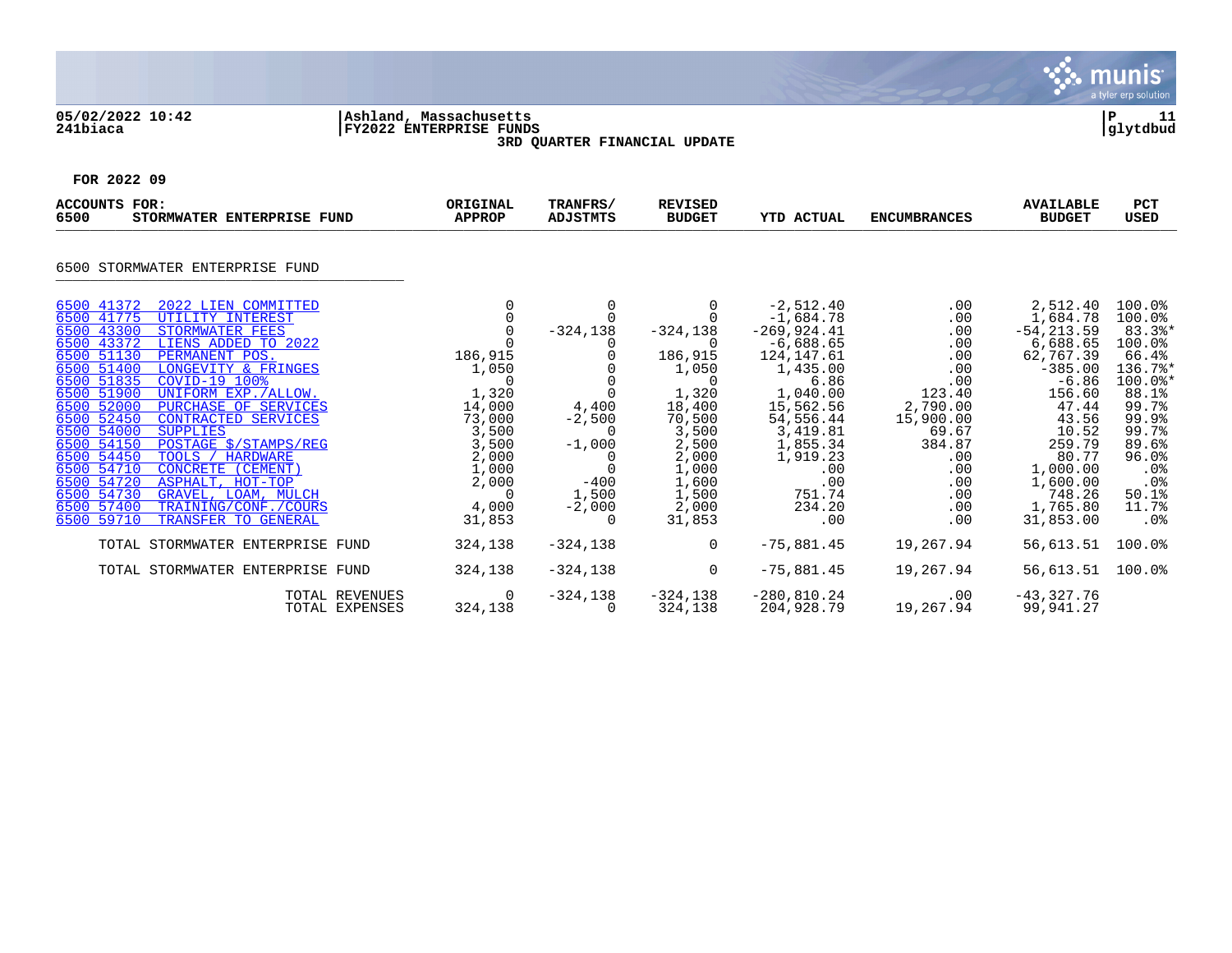

## **05/02/2022 10:42 |Ashland, Massachusetts |P 11 241biaca |FY2022 ENTERPRISE FUNDS |glytdbud 3RD QUARTER FINANCIAL UPDATE**



| <b>ACCOUNTS FOR:</b><br>6500<br>STORMWATER ENTERPRISE FUND                                                                                                                                                                                                                                                                                                                                                                                                                                                                                                                                                                                                | ORIGINAL<br><b>APPROP</b>                                                                                                             | TRANFRS/<br><b>ADJSTMTS</b>                                                     | <b>REVISED</b><br><b>BUDGET</b>                                                                                                                  | <b>YTD ACTUAL</b>                                                                                                                                                                                                 | <b>ENCUMBRANCES</b>                                                                                                                           | <b>AVAILABLE</b><br><b>BUDGET</b>                                                                                                                                                                         | <b>PCT</b><br><b>USED</b>                                                                                                                                                                |
|-----------------------------------------------------------------------------------------------------------------------------------------------------------------------------------------------------------------------------------------------------------------------------------------------------------------------------------------------------------------------------------------------------------------------------------------------------------------------------------------------------------------------------------------------------------------------------------------------------------------------------------------------------------|---------------------------------------------------------------------------------------------------------------------------------------|---------------------------------------------------------------------------------|--------------------------------------------------------------------------------------------------------------------------------------------------|-------------------------------------------------------------------------------------------------------------------------------------------------------------------------------------------------------------------|-----------------------------------------------------------------------------------------------------------------------------------------------|-----------------------------------------------------------------------------------------------------------------------------------------------------------------------------------------------------------|------------------------------------------------------------------------------------------------------------------------------------------------------------------------------------------|
| 6500 STORMWATER ENTERPRISE FUND                                                                                                                                                                                                                                                                                                                                                                                                                                                                                                                                                                                                                           |                                                                                                                                       |                                                                                 |                                                                                                                                                  |                                                                                                                                                                                                                   |                                                                                                                                               |                                                                                                                                                                                                           |                                                                                                                                                                                          |
| 6500 41372<br>2022 LIEN COMMITTED<br>6500 41775<br>UTILITY INTEREST<br>6500 43300<br>STORMWATER FEES<br>6500 43372 LIENS ADDED TO 2022<br>6500 51130<br>PERMANENT POS.<br>6500 51400<br>LONGEVITY & FRINGES<br>6500 51835<br>COVID-19 100%<br>6500 51900<br>UNIFORM EXP./ALLOW.<br>6500 52000<br>PURCHASE OF SERVICES<br>6500 52450<br>CONTRACTED SERVICES<br>6500 54000<br><b>SUPPLIES</b><br>POSTAGE \$/STAMPS/REG<br>6500 54150<br>6500 54450<br>TOOLS / HARDWARE<br>6500 54710<br>CONCRETE (CEMENT)<br>6500 54720<br>ASPHALT, HOT-TOP<br>6500 54730<br>GRAVEL, LOAM, MULCH<br>6500 57400<br>TRAINING/CONF./COURS<br>6500 59710<br>TRANSFER TO GENERAL | 186,915<br>1,050<br>$\Omega$<br>1,320<br>14,000<br>73,000<br>3,500<br>3,500<br>2,000<br>1,000<br>2,000<br>$\Omega$<br>4,000<br>31,853 | 0<br>$-324,138$<br>4,400<br>$-2,500$<br>$-1,000$<br>$-400$<br>1,500<br>$-2,000$ | $-324,138$<br>186,915<br>1,050<br>$\Omega$<br>1,320<br>18,400<br>70,500<br>3,500<br>2,500<br>2,000<br>1,000<br>1,600<br>1,500<br>2,000<br>31,853 | $-2,512.40$<br>$-1,684.78$<br>$-269, 924.41$<br>$-6,688.65$<br>124, 147.61<br>1,435.00<br>6.86<br>1,040.00<br>15,562.56<br>54,556.44<br>3,419.81<br>1,855.34<br>1,919.23<br>.00<br>.00<br>751.74<br>234.20<br>.00 | .00<br>.00<br>.00<br>.00<br>.00<br>.00<br>.00<br>123.40<br>2,790.00<br>15,900.00<br>69.67<br>384.87<br>.00<br>.00<br>.00<br>.00<br>.00<br>.00 | 2,512.40<br>1,684.78<br>$-54, 213.59$<br>6,688.65<br>62,767.39<br>$-385.00$<br>$-6.86$<br>156.60<br>47.44<br>43.56<br>10.52<br>259.79<br>80.77<br>1,000.00<br>1,600.00<br>748.26<br>1,765.80<br>31,853.00 | $100.0$ %<br>100.0%<br>$83.3$ <sup>*</sup><br>100.0%<br>66.4%<br>136.7%*<br>$100.0$ *<br>88.1%<br>99.7%<br>99.9%<br>99.7%<br>89.6%<br>96.0%<br>.0%<br>$.0\%$<br>50.1%<br>11.7%<br>$.0\%$ |
| TOTAL STORMWATER ENTERPRISE FUND                                                                                                                                                                                                                                                                                                                                                                                                                                                                                                                                                                                                                          | 324,138                                                                                                                               | $-324,138$                                                                      | $\Omega$                                                                                                                                         | $-75,881.45$                                                                                                                                                                                                      | 19,267.94                                                                                                                                     | 56,613.51                                                                                                                                                                                                 | 100.0%                                                                                                                                                                                   |
| TOTAL STORMWATER ENTERPRISE FUND                                                                                                                                                                                                                                                                                                                                                                                                                                                                                                                                                                                                                          | 324,138                                                                                                                               | $-324,138$                                                                      | $\Omega$                                                                                                                                         | $-75,881.45$                                                                                                                                                                                                      | 19,267.94                                                                                                                                     | 56,613.51                                                                                                                                                                                                 | $100.0$ %                                                                                                                                                                                |
|                                                                                                                                                                                                                                                                                                                                                                                                                                                                                                                                                                                                                                                           | $\Omega$<br><b>TOTAL REVENUES</b><br>324,138<br>TOTAL EXPENSES                                                                        | $-324, 138$                                                                     | $-324,138$<br>324,138                                                                                                                            | $-280, 810.24$<br>204,928.79                                                                                                                                                                                      | $.00 \,$<br>19,267.94                                                                                                                         | $-43,327.76$<br>99,941.27                                                                                                                                                                                 |                                                                                                                                                                                          |